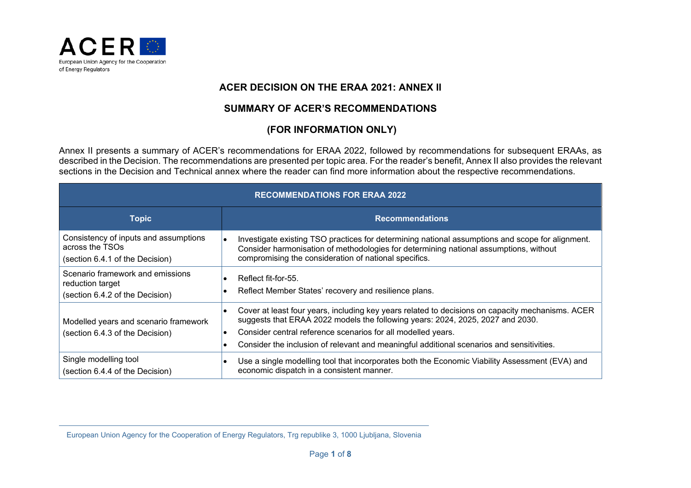

## **ACER DECISION ON THE ERAA 2021: ANNEX II**

## **SUMMARY OF ACER'S RECOMMENDATIONS**

## **(FOR INFORMATION ONLY)**

Annex II presents a summary of ACER's recommendations for ERAA 2022, followed by recommendations for subsequent ERAAs, as described in the Decision. The recommendations are presented per topic area. For the reader's benefit, Annex II also provides the relevant sections in the Decision and Technical annex where the reader can find more information about the respective recommendations.

| <b>RECOMMENDATIONS FOR ERAA 2022</b>                                                        |                                                                                                                                                                                                                                                                                                                                                 |
|---------------------------------------------------------------------------------------------|-------------------------------------------------------------------------------------------------------------------------------------------------------------------------------------------------------------------------------------------------------------------------------------------------------------------------------------------------|
| <b>Topic</b>                                                                                | <b>Recommendations</b>                                                                                                                                                                                                                                                                                                                          |
| Consistency of inputs and assumptions<br>across the TSOs<br>(section 6.4.1 of the Decision) | Investigate existing TSO practices for determining national assumptions and scope for alignment.<br>Consider harmonisation of methodologies for determining national assumptions, without<br>compromising the consideration of national specifics.                                                                                              |
| Scenario framework and emissions<br>reduction target<br>(section 6.4.2 of the Decision)     | Reflect fit-for-55.<br>Reflect Member States' recovery and resilience plans.                                                                                                                                                                                                                                                                    |
| Modelled years and scenario framework<br>(section 6.4.3 of the Decision)                    | Cover at least four years, including key years related to decisions on capacity mechanisms. ACER<br>suggests that ERAA 2022 models the following years: 2024, 2025, 2027 and 2030.<br>Consider central reference scenarios for all modelled years.<br>Consider the inclusion of relevant and meaningful additional scenarios and sensitivities. |
| Single modelling tool<br>(section 6.4.4 of the Decision)                                    | Use a single modelling tool that incorporates both the Economic Viability Assessment (EVA) and<br>economic dispatch in a consistent manner.                                                                                                                                                                                                     |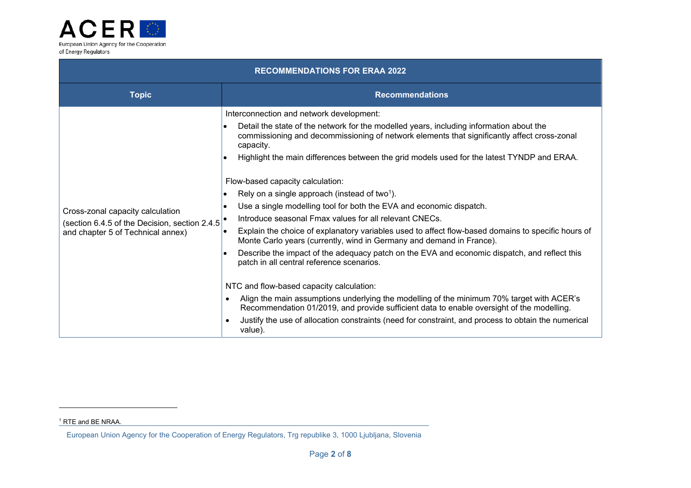

| <b>RECOMMENDATIONS FOR ERAA 2022</b>                                                                                   |                                                                                                                                                                                                                                                                                                                                                                                                                                                                                                                                                                                                                                                                                                                                                                                                                                                                                                                                                                                                                                                                                                                                                                                                                                                                                              |
|------------------------------------------------------------------------------------------------------------------------|----------------------------------------------------------------------------------------------------------------------------------------------------------------------------------------------------------------------------------------------------------------------------------------------------------------------------------------------------------------------------------------------------------------------------------------------------------------------------------------------------------------------------------------------------------------------------------------------------------------------------------------------------------------------------------------------------------------------------------------------------------------------------------------------------------------------------------------------------------------------------------------------------------------------------------------------------------------------------------------------------------------------------------------------------------------------------------------------------------------------------------------------------------------------------------------------------------------------------------------------------------------------------------------------|
| <b>Topic</b>                                                                                                           | <b>Recommendations</b>                                                                                                                                                                                                                                                                                                                                                                                                                                                                                                                                                                                                                                                                                                                                                                                                                                                                                                                                                                                                                                                                                                                                                                                                                                                                       |
| Cross-zonal capacity calculation<br>(section 6.4.5 of the Decision, section 2.4.5<br>and chapter 5 of Technical annex) | Interconnection and network development:<br>Detail the state of the network for the modelled years, including information about the<br>commissioning and decommissioning of network elements that significantly affect cross-zonal<br>capacity.<br>Highlight the main differences between the grid models used for the latest TYNDP and ERAA.<br>Flow-based capacity calculation:<br>Rely on a single approach (instead of two <sup>1</sup> ).<br>Use a single modelling tool for both the EVA and economic dispatch.<br>Introduce seasonal Fmax values for all relevant CNECs.<br>Explain the choice of explanatory variables used to affect flow-based domains to specific hours of<br>Monte Carlo years (currently, wind in Germany and demand in France).<br>Describe the impact of the adequacy patch on the EVA and economic dispatch, and reflect this<br>patch in all central reference scenarios.<br>NTC and flow-based capacity calculation:<br>Align the main assumptions underlying the modelling of the minimum 70% target with ACER's<br>$\bullet$<br>Recommendation 01/2019, and provide sufficient data to enable oversight of the modelling.<br>Justify the use of allocation constraints (need for constraint, and process to obtain the numerical<br>$\bullet$<br>value). |

<sup>&</sup>lt;sup>1</sup> RTE and BE NRAA.

European Union Agency for the Cooperation of Energy Regulators, Trg republike 3, 1000 Ljubljana, Slovenia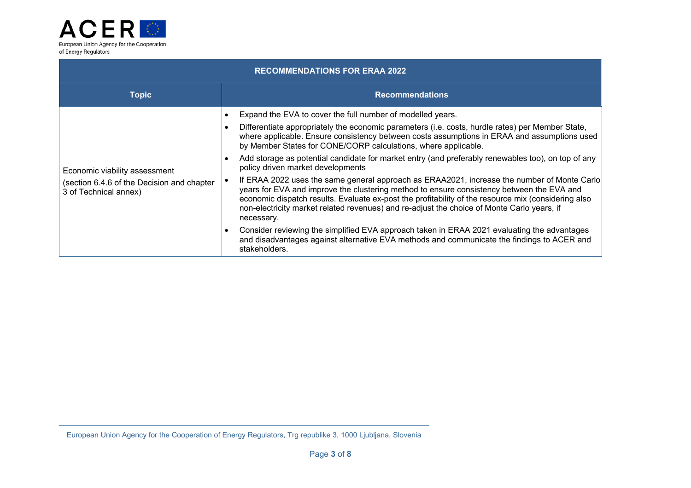

| <b>RECOMMENDATIONS FOR ERAA 2022</b>                                                                 |                                                                                                                                                                                                                                                                                                                                                                                                                                                                                                                                                                                                                                                                                                                                                                                                                                                                                                                                                                                                                                                                                                         |  |
|------------------------------------------------------------------------------------------------------|---------------------------------------------------------------------------------------------------------------------------------------------------------------------------------------------------------------------------------------------------------------------------------------------------------------------------------------------------------------------------------------------------------------------------------------------------------------------------------------------------------------------------------------------------------------------------------------------------------------------------------------------------------------------------------------------------------------------------------------------------------------------------------------------------------------------------------------------------------------------------------------------------------------------------------------------------------------------------------------------------------------------------------------------------------------------------------------------------------|--|
| <b>Topic</b>                                                                                         | <b>Recommendations</b>                                                                                                                                                                                                                                                                                                                                                                                                                                                                                                                                                                                                                                                                                                                                                                                                                                                                                                                                                                                                                                                                                  |  |
| Economic viability assessment<br>(section 6.4.6 of the Decision and chapter<br>3 of Technical annex) | Expand the EVA to cover the full number of modelled years.<br>Differentiate appropriately the economic parameters (i.e. costs, hurdle rates) per Member State,<br>where applicable. Ensure consistency between costs assumptions in ERAA and assumptions used<br>by Member States for CONE/CORP calculations, where applicable.<br>Add storage as potential candidate for market entry (and preferably renewables too), on top of any<br>policy driven market developments<br>If ERAA 2022 uses the same general approach as ERAA2021, increase the number of Monte Carlo<br>years for EVA and improve the clustering method to ensure consistency between the EVA and<br>economic dispatch results. Evaluate ex-post the profitability of the resource mix (considering also<br>non-electricity market related revenues) and re-adjust the choice of Monte Carlo years, if<br>necessary.<br>Consider reviewing the simplified EVA approach taken in ERAA 2021 evaluating the advantages<br>and disadvantages against alternative EVA methods and communicate the findings to ACER and<br>stakeholders. |  |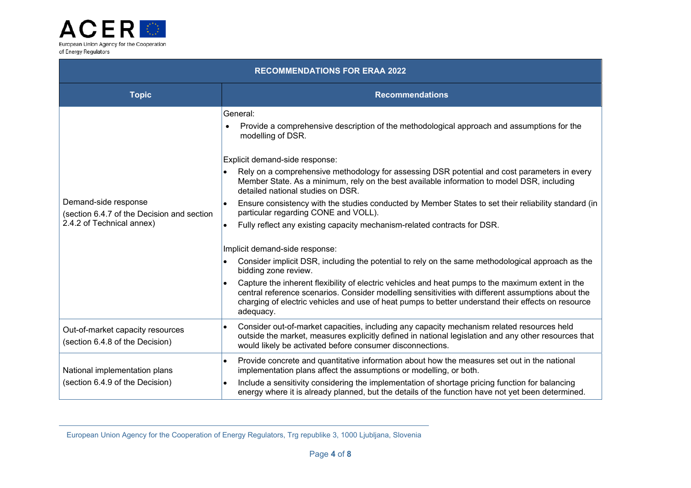

| <b>RECOMMENDATIONS FOR ERAA 2022</b>                                                            |                                                                                                                                                                                                                                                                                                                                                                                                                                                                                                                                                                                                                                                                                                                                                                                                                                                                                                                                                                                                                                                                                                                           |
|-------------------------------------------------------------------------------------------------|---------------------------------------------------------------------------------------------------------------------------------------------------------------------------------------------------------------------------------------------------------------------------------------------------------------------------------------------------------------------------------------------------------------------------------------------------------------------------------------------------------------------------------------------------------------------------------------------------------------------------------------------------------------------------------------------------------------------------------------------------------------------------------------------------------------------------------------------------------------------------------------------------------------------------------------------------------------------------------------------------------------------------------------------------------------------------------------------------------------------------|
| <b>Topic</b>                                                                                    | <b>Recommendations</b>                                                                                                                                                                                                                                                                                                                                                                                                                                                                                                                                                                                                                                                                                                                                                                                                                                                                                                                                                                                                                                                                                                    |
| Demand-side response<br>(section 6.4.7 of the Decision and section<br>2.4.2 of Technical annex) | General:<br>Provide a comprehensive description of the methodological approach and assumptions for the<br>modelling of DSR.<br>Explicit demand-side response:<br>Rely on a comprehensive methodology for assessing DSR potential and cost parameters in every<br>Member State. As a minimum, rely on the best available information to model DSR, including<br>detailed national studies on DSR.<br>Ensure consistency with the studies conducted by Member States to set their reliability standard (in<br>particular regarding CONE and VOLL).<br>Fully reflect any existing capacity mechanism-related contracts for DSR.<br>Implicit demand-side response:<br>Consider implicit DSR, including the potential to rely on the same methodological approach as the<br>bidding zone review.<br>Capture the inherent flexibility of electric vehicles and heat pumps to the maximum extent in the<br>central reference scenarios. Consider modelling sensitivities with different assumptions about the<br>charging of electric vehicles and use of heat pumps to better understand their effects on resource<br>adequacy. |
| Out-of-market capacity resources<br>(section 6.4.8 of the Decision)                             | Consider out-of-market capacities, including any capacity mechanism related resources held<br>outside the market, measures explicitly defined in national legislation and any other resources that<br>would likely be activated before consumer disconnections.                                                                                                                                                                                                                                                                                                                                                                                                                                                                                                                                                                                                                                                                                                                                                                                                                                                           |
| National implementation plans<br>(section 6.4.9 of the Decision)                                | Provide concrete and quantitative information about how the measures set out in the national<br>$\bullet$<br>implementation plans affect the assumptions or modelling, or both.<br>Include a sensitivity considering the implementation of shortage pricing function for balancing<br>$\bullet$<br>energy where it is already planned, but the details of the function have not yet been determined.                                                                                                                                                                                                                                                                                                                                                                                                                                                                                                                                                                                                                                                                                                                      |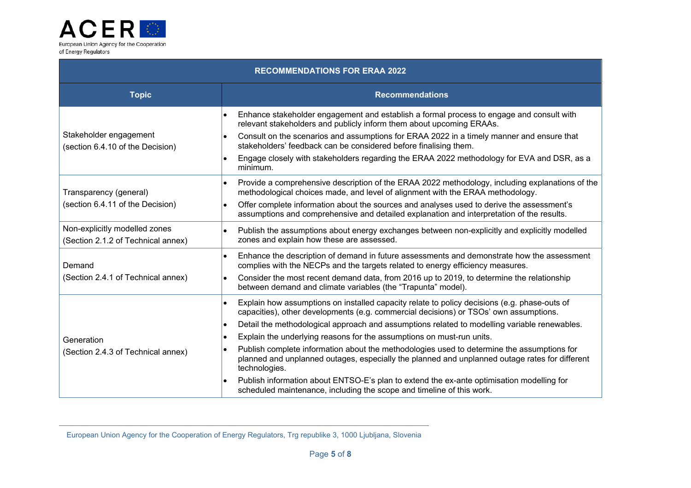

| <b>RECOMMENDATIONS FOR ERAA 2022</b>                                |                                                                                                                                                                                                               |
|---------------------------------------------------------------------|---------------------------------------------------------------------------------------------------------------------------------------------------------------------------------------------------------------|
| <b>Topic</b>                                                        | <b>Recommendations</b>                                                                                                                                                                                        |
|                                                                     | Enhance stakeholder engagement and establish a formal process to engage and consult with<br>relevant stakeholders and publicly inform them about upcoming ERAAs.                                              |
| Stakeholder engagement<br>(section 6.4.10 of the Decision)          | Consult on the scenarios and assumptions for ERAA 2022 in a timely manner and ensure that<br>stakeholders' feedback can be considered before finalising them.                                                 |
|                                                                     | Engage closely with stakeholders regarding the ERAA 2022 methodology for EVA and DSR, as a<br>minimum.                                                                                                        |
| Transparency (general)<br>(section 6.4.11 of the Decision)          | Provide a comprehensive description of the ERAA 2022 methodology, including explanations of the<br>methodological choices made, and level of alignment with the ERAA methodology.                             |
|                                                                     | Offer complete information about the sources and analyses used to derive the assessment's<br>assumptions and comprehensive and detailed explanation and interpretation of the results.                        |
| Non-explicitly modelled zones<br>(Section 2.1.2 of Technical annex) | Publish the assumptions about energy exchanges between non-explicitly and explicitly modelled<br>$\bullet$<br>zones and explain how these are assessed.                                                       |
| Demand                                                              | Enhance the description of demand in future assessments and demonstrate how the assessment<br>complies with the NECPs and the targets related to energy efficiency measures.                                  |
| (Section 2.4.1 of Technical annex)                                  | Consider the most recent demand data, from 2016 up to 2019, to determine the relationship<br>between demand and climate variables (the "Trapunta" model).                                                     |
|                                                                     | Explain how assumptions on installed capacity relate to policy decisions (e.g. phase-outs of<br>capacities), other developments (e.g. commercial decisions) or TSOs' own assumptions.                         |
|                                                                     | Detail the methodological approach and assumptions related to modelling variable renewables.                                                                                                                  |
| Generation                                                          | Explain the underlying reasons for the assumptions on must-run units.                                                                                                                                         |
| (Section 2.4.3 of Technical annex)                                  | Publish complete information about the methodologies used to determine the assumptions for<br>planned and unplanned outages, especially the planned and unplanned outage rates for different<br>technologies. |
|                                                                     | Publish information about ENTSO-E's plan to extend the ex-ante optimisation modelling for<br>scheduled maintenance, including the scope and timeline of this work.                                            |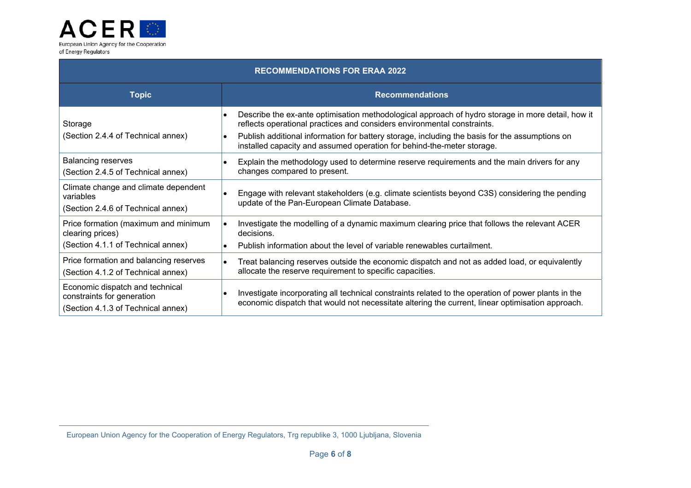

| <b>RECOMMENDATIONS FOR ERAA 2022</b>                                                                |                                                                                                                                                                                                         |  |
|-----------------------------------------------------------------------------------------------------|---------------------------------------------------------------------------------------------------------------------------------------------------------------------------------------------------------|--|
| <b>Topic</b>                                                                                        | <b>Recommendations</b>                                                                                                                                                                                  |  |
| Storage                                                                                             | Describe the ex-ante optimisation methodological approach of hydro storage in more detail, how it<br>reflects operational practices and considers environmental constraints.                            |  |
| (Section 2.4.4 of Technical annex)                                                                  | Publish additional information for battery storage, including the basis for the assumptions on<br>installed capacity and assumed operation for behind-the-meter storage.                                |  |
| <b>Balancing reserves</b><br>(Section 2.4.5 of Technical annex)                                     | Explain the methodology used to determine reserve requirements and the main drivers for any<br>changes compared to present.                                                                             |  |
| Climate change and climate dependent<br>variables<br>(Section 2.4.6 of Technical annex)             | Engage with relevant stakeholders (e.g. climate scientists beyond C3S) considering the pending<br>update of the Pan-European Climate Database.                                                          |  |
| Price formation (maximum and minimum<br>clearing prices)                                            | Investigate the modelling of a dynamic maximum clearing price that follows the relevant ACER<br>decisions.                                                                                              |  |
| (Section 4.1.1 of Technical annex)                                                                  | Publish information about the level of variable renewables curtailment.                                                                                                                                 |  |
| Price formation and balancing reserves<br>(Section 4.1.2 of Technical annex)                        | Treat balancing reserves outside the economic dispatch and not as added load, or equivalently<br>allocate the reserve requirement to specific capacities.                                               |  |
| Economic dispatch and technical<br>constraints for generation<br>(Section 4.1.3 of Technical annex) | Investigate incorporating all technical constraints related to the operation of power plants in the<br>economic dispatch that would not necessitate altering the current, linear optimisation approach. |  |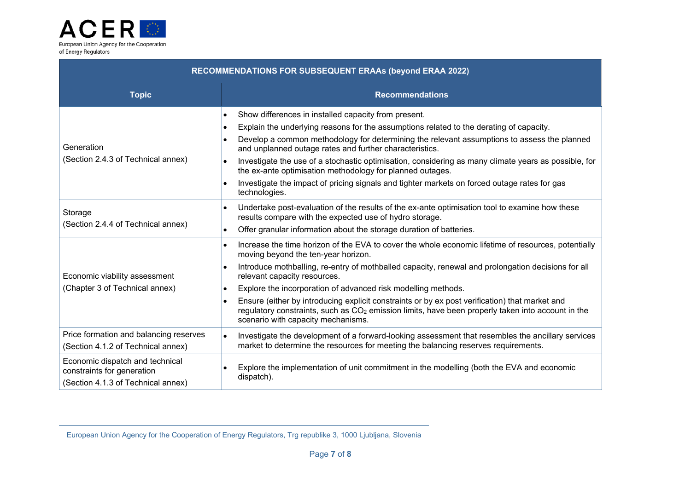

| RECOMMENDATIONS FOR SUBSEQUENT ERAAs (beyond ERAA 2022)                                             |                                                                                                                                                                                                                                                                                                                                                                                                                                                                                                                                                                                                              |
|-----------------------------------------------------------------------------------------------------|--------------------------------------------------------------------------------------------------------------------------------------------------------------------------------------------------------------------------------------------------------------------------------------------------------------------------------------------------------------------------------------------------------------------------------------------------------------------------------------------------------------------------------------------------------------------------------------------------------------|
| <b>Topic</b>                                                                                        | <b>Recommendations</b>                                                                                                                                                                                                                                                                                                                                                                                                                                                                                                                                                                                       |
| Generation<br>(Section 2.4.3 of Technical annex)                                                    | Show differences in installed capacity from present.<br>$\bullet$<br>Explain the underlying reasons for the assumptions related to the derating of capacity.<br>Develop a common methodology for determining the relevant assumptions to assess the planned<br>and unplanned outage rates and further characteristics.<br>Investigate the use of a stochastic optimisation, considering as many climate years as possible, for<br>the ex-ante optimisation methodology for planned outages.<br>Investigate the impact of pricing signals and tighter markets on forced outage rates for gas<br>technologies. |
| Storage<br>(Section 2.4.4 of Technical annex)                                                       | Undertake post-evaluation of the results of the ex-ante optimisation tool to examine how these<br>results compare with the expected use of hydro storage.<br>Offer granular information about the storage duration of batteries.                                                                                                                                                                                                                                                                                                                                                                             |
| Economic viability assessment<br>(Chapter 3 of Technical annex)                                     | Increase the time horizon of the EVA to cover the whole economic lifetime of resources, potentially<br>moving beyond the ten-year horizon.<br>Introduce mothballing, re-entry of mothballed capacity, renewal and prolongation decisions for all<br>relevant capacity resources.<br>Explore the incorporation of advanced risk modelling methods.<br>Ensure (either by introducing explicit constraints or by ex post verification) that market and<br>regulatory constraints, such as CO <sub>2</sub> emission limits, have been properly taken into account in the<br>scenario with capacity mechanisms.   |
| Price formation and balancing reserves<br>(Section 4.1.2 of Technical annex)                        | Investigate the development of a forward-looking assessment that resembles the ancillary services<br>market to determine the resources for meeting the balancing reserves requirements.                                                                                                                                                                                                                                                                                                                                                                                                                      |
| Economic dispatch and technical<br>constraints for generation<br>(Section 4.1.3 of Technical annex) | Explore the implementation of unit commitment in the modelling (both the EVA and economic<br>dispatch).                                                                                                                                                                                                                                                                                                                                                                                                                                                                                                      |